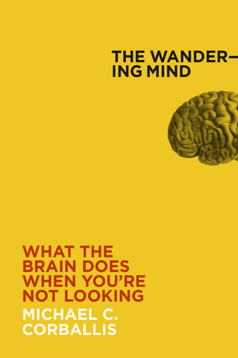# **THE WANDER-ING MIND**



## **WHAT THE BRAIN DOES WHEN YOU'RE NOT LOOKING MICHAEL C. CORBALLIS**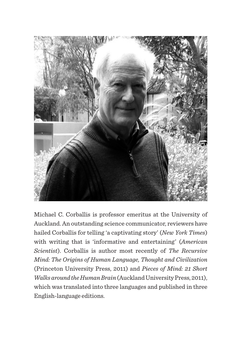

Michael C. Corballis is professor emeritus at the University of Auckland. An outstanding science communicator, reviewers have hailed Corballis for telling 'a captivating story' (*New York Times*) with writing that is 'informative and entertaining' (*American Scientist*). Corballis is author most recently of *The Recursive Mind: The Origins of Human Language, Thought and Civilization* (Princeton University Press, 2011) and *Pieces of Mind: 21 Short Walks around the Human Brain* (Auckland University Press, 2011), which was translated into three languages and published in three English-language editions.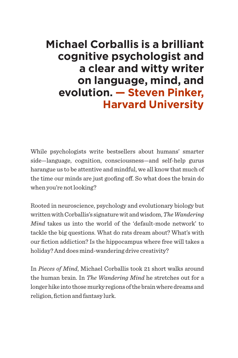### **Michael Corballis is a brilliant cognitive psychologist and a clear and witty writer on language, mind, and evolution. — Steven Pinker, Harvard University**

While psychologists write bestsellers about humans' smarter side—language, cognition, consciousness—and self-help gurus harangue us to be attentive and mindful, we all know that much of the time our minds are just goofing off. So what does the brain do when you're not looking?

Rooted in neuroscience, psychology and evolutionary biology but written with Corballis's signature wit and wisdom, *The Wandering Mind* takes us into the world of the 'default-mode network' to tackle the big questions. What do rats dream about? What's with our fiction addiction? Is the hippocampus where free will takes a holiday? And does mind-wandering drive creativity?

In *Pieces of Mind*, Michael Corballis took 21 short walks around the human brain. In *The Wandering Mind* he stretches out for a longer hike into those murky regions of the brain where dreams and religion, fiction and fantasy lurk.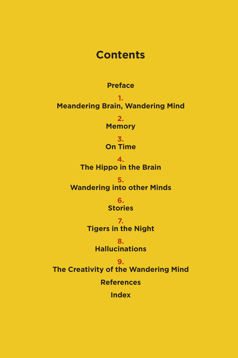### **Contents**

#### **Preface**

**1. Meandering Brain, Wandering Mind 2.**

**Memory**

### **3. On Time**

**4. The Hippo in the Brain**

**5. Wandering into other Minds**

> **6. Stories**

**7. Tigers in the Night**

> **8. Hallucinations**

**9. The Creativity of the Wandering Mind**

**References**

**Index**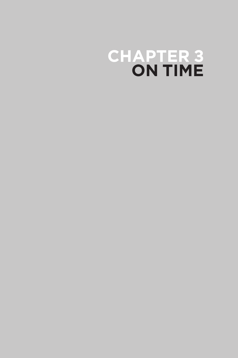# **CHAPTER 3 ON TIME**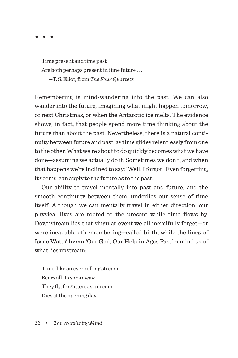. . .

Time present and time past Are both perhaps present in time future . . . —T. S. Eliot, from *The Four Quartets*

Remembering is mind-wandering into the past. We can also wander into the future, imagining what might happen tomorrow, or next Christmas, or when the Antarctic ice melts. The evidence shows, in fact, that people spend more time thinking about the future than about the past. Nevertheless, there is a natural continuity between future and past, as time glides relentlessly from one to the other. What we're about to do quickly becomes what we have done—assuming we actually do it. Sometimes we don't, and when that happens we're inclined to say: 'Well, I forgot.' Even forgetting, it seems, can apply to the future as to the past.

Our ability to travel mentally into past and future, and the smooth continuity between them, underlies our sense of time itself. Although we can mentally travel in either direction, our physical lives are rooted to the present while time flows by. Downstream lies that singular event we all mercifully forget—or were incapable of remembering—called birth, while the lines of Isaac Watts' hymn 'Our God, Our Help in Ages Past' remind us of what lies upstream:

Time, like an ever rolling stream, Bears all its sons away; They fly, forgotten, as a dream Dies at the opening day.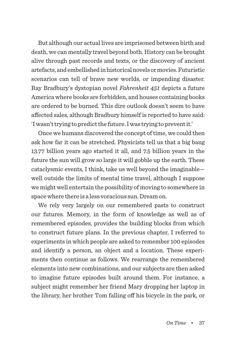But although our actual lives are imprisoned between birth and death, we can mentally travel beyond both. History can be brought alive through past records and texts, or the discovery of ancient artefacts, and embellished in historical novels or movies. Futuristic scenarios can tell of brave new worlds, or impending disaster. Ray Bradbury's dystopian novel *Fahrenheit 451* depicts a future America where books are forbidden, and houses containing books are ordered to be burned. This dire outlook doesn't seem to have affected sales, although Bradbury himself is reported to have said: 'I wasn't trying to predict the future. I was trying to prevent it.'

Once we humans discovered the concept of time, we could then ask how far it can be stretched. Physicists tell us that a big bang 13.77 billion years ago started it all, and 7.5 billion years in the future the sun will grow so large it will gobble up the earth. These cataclysmic events, I think, take us well beyond the imaginable well outside the limits of mental time travel, although I suppose we might well entertain the possibility of moving to somewhere in space where there is a less voracious sun. Dream on.

We rely very largely on our remembered pasts to construct our futures. Memory, in the form of knowledge as well as of remembered episodes, provides the building blocks from which to construct future plans. In the previous chapter, I referred to experiments in which people are asked to remember 100 episodes and identify a person, an object and a location. These experiments then continue as follows. We rearrange the remembered elements into new combinations, and our subjects are then asked to imagine future episodes built around them. For instance, a subject might remember her friend Mary dropping her laptop in the library, her brother Tom falling off his bicycle in the park, or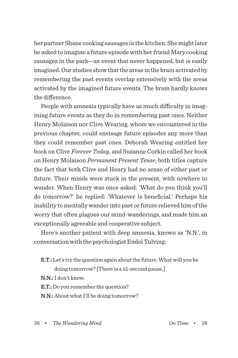her partner Shane cooking sausages in the kitchen. She might later be asked to imagine a future episode with her friend Mary cooking sausages in the park—an event that never happened, but is easily imagined. Our studies show that the areas in the brain activated by remembering the past events overlap extensively with the areas activated by the imagined future events. The brain hardly knows the difference.

People with amnesia typically have as much difficulty in imagining future events as they do in remembering past ones. Neither Henry Molaison nor Clive Wearing, whom we encountered in the previous chapter, could envisage future episodes any more than they could remember past ones. Deborah Wearing entitled her book on Clive *Forever Today*, and Suzanne Corkin called her book on Henry Molaison *Permanent Present Tense*; both titles capture the fact that both Clive and Henry had no sense of either past or future. Their minds were stuck in the present, with nowhere to wander. When Henry was once asked: 'What do you think you'll do tomorrow?' he replied: 'Whatever is beneficial.' Perhaps his inability to mentally wander into past or future relieved him of the worry that often plagues our mind-wanderings, and made him an exceptionally agreeable and cooperative subject.

Here's another patient with deep amnesia, known as 'N.N.', in conversation with the psychologist Endel Tulving:

**E.T.:** Let's try the question again about the future. What will you be

doing tomorrow? [There is a 15-second pause.]

**N.N.:** I don't know.

**E.T.:** Do you remember the question?

**N.N.:** About what I'll be doing tomorrow?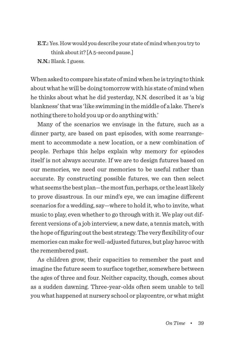**E.T.:** Yes. How would you describe your state of mind when you try to think about it? [A 5-second pause.]

**N.N.:** Blank. I guess.

When asked to compare his state of mind when he is trying to think about what he will be doing tomorrow with his state of mind when he thinks about what he did yesterday, N.N. described it as 'a big blankness' that was 'like swimming in the middle of a lake. There's nothing there to hold you up or do anything with.'

Many of the scenarios we envisage in the future, such as a dinner party, are based on past episodes, with some rearrangement to accommodate a new location, or a new combination of people. Perhaps this helps explain why memory for episodes itself is not always accurate. If we are to design futures based on our memories, we need our memories to be useful rather than accurate. By constructing possible futures, we can then select what seems the best plan—the most fun, perhaps, or the least likely to prove disastrous. In our mind's eye, we can imagine different scenarios for a wedding, say—where to hold it, who to invite, what music to play, even whether to go through with it. We play out different versions of a job interview, a new date, a tennis match, with the hope of figuring out the best strategy. The very flexibility of our memories can make for well-adjusted futures, but play havoc with the remembered past.

As children grow, their capacities to remember the past and imagine the future seem to surface together, somewhere between the ages of three and four. Neither capacity, though, comes about as a sudden dawning. Three-year-olds often seem unable to tell you what happened at nursery school or playcentre, or what might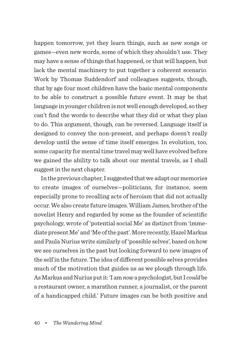happen tomorrow, yet they learn things, such as new songs or games—even new words, some of which they shouldn't use. They may have a sense of things that happened, or that will happen, but lack the mental machinery to put together a coherent scenario. Work by Thomas Suddendorf and colleagues suggests, though, that by age four most children have the basic mental components to be able to construct a possible future event. It may be that language in younger children is not well enough developed, so they can't find the words to describe what they did or what they plan to do. This argument, though, can be reversed. Language itself is designed to convey the non-present, and perhaps doesn't really develop until the sense of time itself emerges. In evolution, too, some capacity for mental time travel may well have evolved before we gained the ability to talk about our mental travels, as I shall suggest in the next chapter.

In the previous chapter, I suggested that we adapt our memories to create images of ourselves—politicians, for instance, seem especially prone to recalling acts of heroism that did not actually occur. We also create future images. William James, brother of the novelist Henry and regarded by some as the founder of scientific psychology, wrote of 'potential social Me' as distinct from 'immediate present Me' and 'Me of the past'. More recently, Hazel Markus and Paula Nurius write similarly of 'possible selves', based on how we see ourselves in the past but looking forward to new images of the self in the future. The idea of different possible selves provides much of the motivation that guides us as we plough through life. As Markus and Nurius put it: 'I am *now* a psychologist, but I *could* be a restaurant owner, a marathon runner, a journalist, or the parent of a handicapped child.' Future images can be both positive and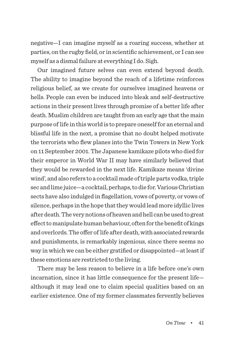negative—I can imagine myself as a roaring success, whether at parties, on the rugby field, or in scientific achievement, or I can see myself as a dismal failure at everything I do. Sigh.

Our imagined future selves can even extend beyond death. The ability to imagine beyond the reach of a lifetime reinforces religious belief, as we create for ourselves imagined heavens or hells. People can even be induced into bleak and self-destructive actions in their present lives through promise of a better life after death. Muslim children are taught from an early age that the main purpose of  life in this world is to prepare oneself for an eternal and blissful life in the next, a promise that no doubt helped motivate the terrorists who flew planes into the Twin Towers in New York on 11 September 2001. The Japanese kamikaze pilots who died for their emperor in World War II may have similarly believed that they would be rewarded in the next life. Kamikaze means 'divine wind', and also refers to a cocktail made of triple parts vodka, triple sec and lime juice—a cocktail, perhaps, to die for. Various Christian sects have also indulged in flagellation, vows of poverty, or vows of silence, perhaps in the hope that they would lead more idyllic lives after death. The very notions of heaven and hell can be used to great effect to manipulate human behaviour, often for the benefit of kings and overlords. The offer of  life after death, with associated rewards and punishments, is remarkably ingenious, since there seems no way in which we can be either gratified or disappointed—at least if these emotions are restricted to the living.

There may be less reason to believe in a life before one's own incarnation, since it has little consequence for the present life although it may lead one to claim special qualities based on an earlier existence. One of my former classmates fervently believes